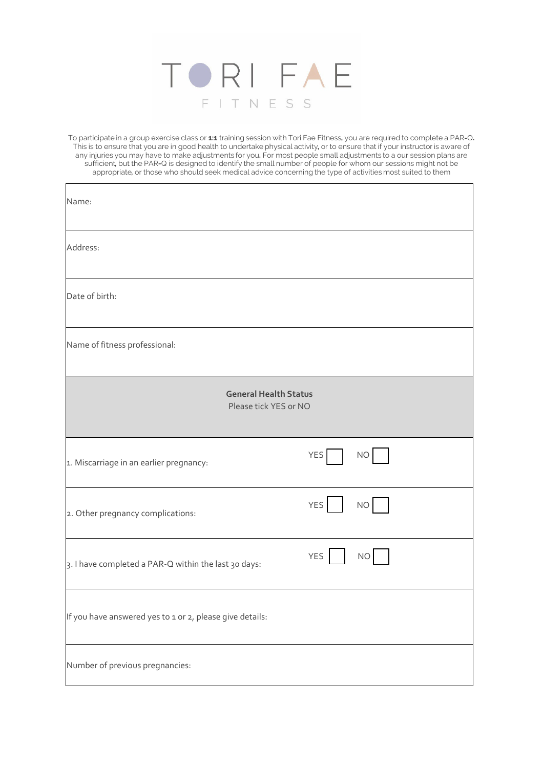

To participate in a group exercise class or **1:1** training session with Tori Fae Fitness**,** you are required to complete a PAR**-**Q**.**  This is to ensure that you are in good health to undertake physical activity**,** or to ensure that if your instructoris aware of any injuries you may have to make adjustments for you**.** For most people small adjustments to a our session plans are sufficient**,** but the PAR**-**Q is designed to identify the small number of people for whom our sessions might not be appropriate**,** or those who should seek medical advice concerning the type of activities most suited to them

| Name:                                                    |                         |  |  |
|----------------------------------------------------------|-------------------------|--|--|
| Address:                                                 |                         |  |  |
| Date of birth:                                           |                         |  |  |
| Name of fitness professional:                            |                         |  |  |
| <b>General Health Status</b><br>Please tick YES or NO    |                         |  |  |
| 1. Miscarriage in an earlier pregnancy:                  | YES <sup>I</sup><br>NO  |  |  |
| 2. Other pregnancy complications:                        | YES<br>NO               |  |  |
| 3. I have completed a PAR-Q within the last 30 days:     | <b>YES</b><br><b>NO</b> |  |  |
| If you have answered yes to 1 or 2, please give details: |                         |  |  |
| Number of previous pregnancies:                          |                         |  |  |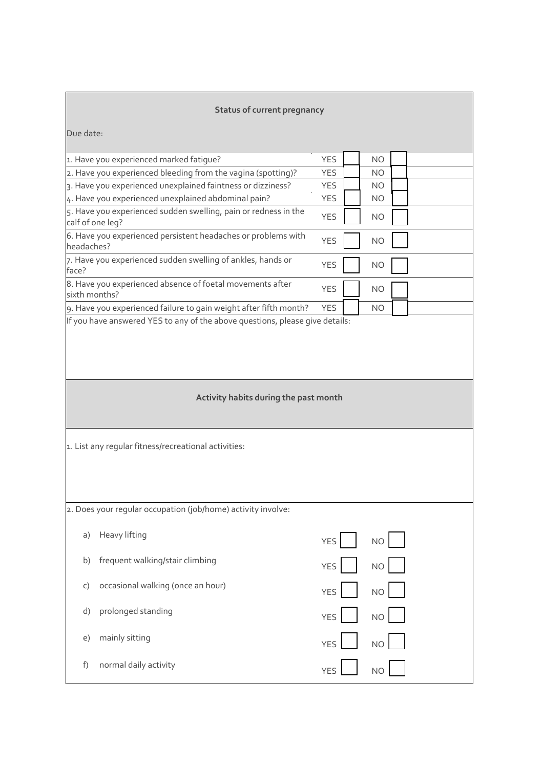# **Status of current pregnancy**

| Due date:                                                    |                                                                   |            |           |  |  |
|--------------------------------------------------------------|-------------------------------------------------------------------|------------|-----------|--|--|
|                                                              | 1. Have you experienced marked fatique?                           | <b>YES</b> | <b>NO</b> |  |  |
|                                                              | 2. Have you experienced bleeding from the vagina (spotting)?      | <b>YES</b> | <b>NO</b> |  |  |
|                                                              | 3. Have you experienced unexplained faintness or dizziness?       | <b>YES</b> | <b>NO</b> |  |  |
|                                                              | 4. Have you experienced unexplained abdominal pain?               | <b>YES</b> | <b>NO</b> |  |  |
| calf of one leg?                                             | 5. Have you experienced sudden swelling, pain or redness in the   | <b>YES</b> | <b>NO</b> |  |  |
| headaches?                                                   | 6. Have you experienced persistent headaches or problems with     | <b>YES</b> | <b>NO</b> |  |  |
| face?                                                        | 7. Have you experienced sudden swelling of ankles, hands or       | <b>YES</b> | <b>NO</b> |  |  |
| sixth months?                                                | 8. Have you experienced absence of foetal movements after         | <b>YES</b> | <b>NO</b> |  |  |
|                                                              | 9. Have you experienced failure to gain weight after fifth month? | <b>YES</b> | NO.       |  |  |
| Activity habits during the past month                        |                                                                   |            |           |  |  |
|                                                              |                                                                   |            |           |  |  |
| 1. List any regular fitness/recreational activities:         |                                                                   |            |           |  |  |
| 2. Does your regular occupation (job/home) activity involve: |                                                                   |            |           |  |  |
| a)                                                           | Heavy lifting                                                     | <b>YES</b> | <b>NO</b> |  |  |
| b)                                                           | frequent walking/stair climbing                                   | <b>YES</b> | <b>NO</b> |  |  |
| C)                                                           | occasional walking (once an hour)                                 | <b>YES</b> | <b>NO</b> |  |  |
| d)                                                           | prolonged standing                                                | <b>YES</b> | <b>NO</b> |  |  |
| e)                                                           | mainly sitting                                                    | <b>YES</b> | <b>NO</b> |  |  |
| normal daily activity<br>f)<br><b>NO</b><br><b>YES</b>       |                                                                   |            |           |  |  |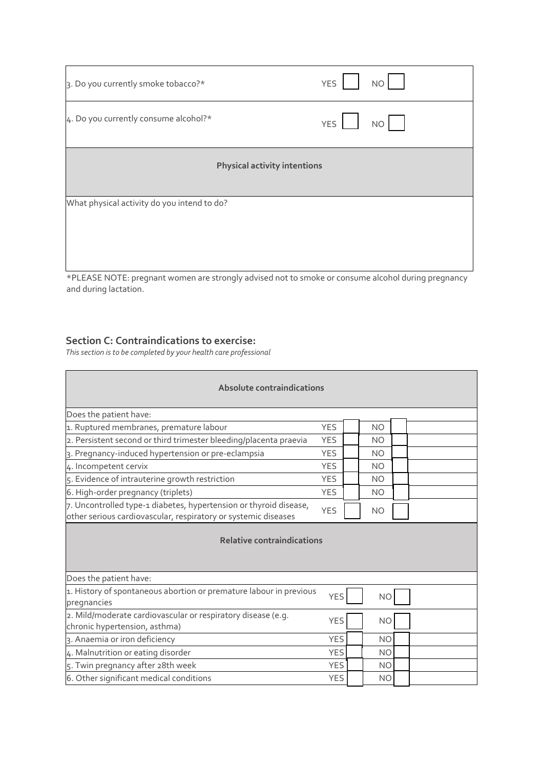| 3. Do you currently smoke tobacco?*                                                              | <b>NO</b><br><b>YES</b> |  |  |  |
|--------------------------------------------------------------------------------------------------|-------------------------|--|--|--|
| 4. Do you currently consume alcohol?*                                                            | <b>YES</b><br>NO        |  |  |  |
| <b>Physical activity intentions</b>                                                              |                         |  |  |  |
| What physical activity do you intend to do?                                                      |                         |  |  |  |
| *BLEACE NOTE, program women are strongly advised not to smale ar sensume alsohol during programs |                         |  |  |  |

\*PLEASE NOTE: pregnant women are strongly advised not to smoke or consume alcohol during pregnancy and during lactation.

## **Section C: Contraindications to exercise:**

*This section is to be completed by your health care professional* 

| Absolute contraindications                                                                                                          |            |  |                |  |  |  |  |
|-------------------------------------------------------------------------------------------------------------------------------------|------------|--|----------------|--|--|--|--|
| Does the patient have:                                                                                                              |            |  |                |  |  |  |  |
| 1. Ruptured membranes, premature labour                                                                                             | <b>YES</b> |  | <b>NO</b>      |  |  |  |  |
| 2. Persistent second or third trimester bleeding/placenta praevia                                                                   | <b>YES</b> |  | <b>NO</b>      |  |  |  |  |
| 3. Pregnancy-induced hypertension or pre-eclampsia                                                                                  | <b>YES</b> |  | <b>NO</b>      |  |  |  |  |
| 4. Incompetent cervix                                                                                                               | <b>YES</b> |  | <b>NO</b>      |  |  |  |  |
| 5. Evidence of intrauterine growth restriction                                                                                      | <b>YES</b> |  | <b>NO</b>      |  |  |  |  |
| 6. High-order pregnancy (triplets)                                                                                                  | <b>YES</b> |  | <b>NO</b>      |  |  |  |  |
| 7. Uncontrolled type-1 diabetes, hypertension or thyroid disease,<br>other serious cardiovascular, respiratory or systemic diseases | <b>YES</b> |  | <b>NO</b>      |  |  |  |  |
| <b>Relative contraindications</b>                                                                                                   |            |  |                |  |  |  |  |
| Does the patient have:                                                                                                              |            |  |                |  |  |  |  |
| 1. History of spontaneous abortion or premature labour in previous<br>pregnancies                                                   | <b>YES</b> |  | <b>NO</b>      |  |  |  |  |
| 2. Mild/moderate cardiovascular or respiratory disease (e.g.<br>chronic hypertension, asthma)                                       | <b>YES</b> |  | N <sub>O</sub> |  |  |  |  |
| 3. Anaemia or iron deficiency                                                                                                       | <b>YES</b> |  | <b>NO</b>      |  |  |  |  |
| 4. Malnutrition or eating disorder                                                                                                  |            |  | <b>NO</b>      |  |  |  |  |
| 5. Twin pregnancy after 28th week                                                                                                   |            |  | <b>NO</b>      |  |  |  |  |
| 6. Other significant medical conditions<br><b>YES</b><br><b>NO</b>                                                                  |            |  |                |  |  |  |  |